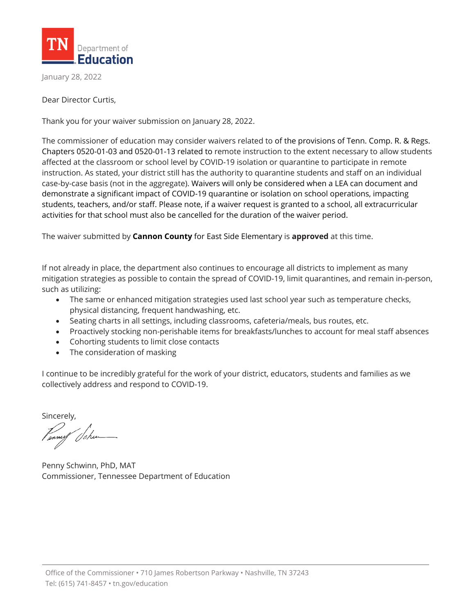

January 28, 2022

Dear Director Curtis,

Thank you for your waiver submission on January 28, 2022.

The commissioner of education may consider waivers related to of the provisions of Tenn. Comp. R. & Regs. Chapters 0520-01-03 and 0520-01-13 related to remote instruction to the extent necessary to allow students affected at the classroom or school level by COVID-19 isolation or quarantine to participate in remote instruction. As stated, your district still has the authority to quarantine students and staff on an individual case-by-case basis (not in the aggregate). Waivers will only be considered when a LEA can document and demonstrate a significant impact of COVID-19 quarantine or isolation on school operations, impacting students, teachers, and/or staff. Please note, if a waiver request is granted to a school, all extracurricular activities for that school must also be cancelled for the duration of the waiver period.

The waiver submitted by **Cannon County** for East Side Elementary is **approved** at this time.

If not already in place, the department also continues to encourage all districts to implement as many mitigation strategies as possible to contain the spread of COVID-19, limit quarantines, and remain in-person, such as utilizing:

- The same or enhanced mitigation strategies used last school year such as temperature checks, physical distancing, frequent handwashing, etc.
- Seating charts in all settings, including classrooms, cafeteria/meals, bus routes, etc.
- Proactively stocking non-perishable items for breakfasts/lunches to account for meal staff absences
- Cohorting students to limit close contacts
- The consideration of masking

I continue to be incredibly grateful for the work of your district, educators, students and families as we collectively address and respond to COVID-19.

Sincerely,

Penny Schwinn, PhD, MAT Commissioner, Tennessee Department of Education